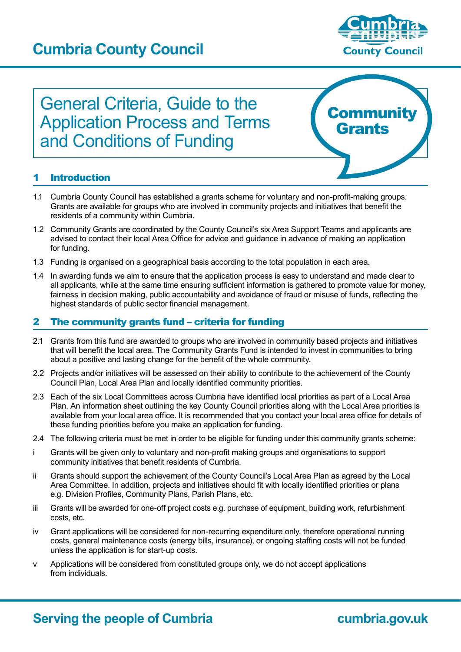## **Cumbria County Council**



# General Criteria, Guide to the Application Process and Terms and Conditions of Funding



### **Introduction**

- 1.1 Cumbria County Council has established a grants scheme for voluntary and non-profit-making groups. Grants are available for groups who are involved in community projects and initiatives that benefit the residents of a community within Cumbria.
- 1.2 Community Grants are coordinated by the County Council's six Area Support Teams and applicants are advised to contact their local Area Office for advice and guidance in advance of making an application for funding.
- 1.3 Funding is organised on a geographical basis according to the total population in each area.
- 1.4 In awarding funds we aim to ensure that the application process is easy to understand and made clear to all applicants, while at the same time ensuring sufficient information is gathered to promote value for money, fairness in decision making, public accountability and avoidance of fraud or misuse of funds, reflecting the highest standards of public sector financial management.

#### 2 The community grants fund – criteria for funding

- 2.1 Grants from this fund are awarded to groups who are involved in community based projects and initiatives that will benefit the local area. The Community Grants Fund is intended to invest in communities to bring about a positive and lasting change for the benefit of the whole community.
- 2.2 Projects and/or initiatives will be assessed on their ability to contribute to the achievement of the County Council Plan, Local Area Plan and locally identified community priorities.
- 2.3 Each of the six Local Committees across Cumbria have identified local priorities as part of a Local Area Plan. An information sheet outlining the key County Council priorities along with the Local Area priorities is available from your local area office. It is recommended that you contact your local area office for details of these funding priorities before you make an application for funding.
- 2.4 The following criteria must be met in order to be eligible for funding under this community grants scheme:
- i Grants will be given only to voluntary and non-profit making groups and organisations to support community initiatives that benefit residents of Cumbria.
- ii Grants should support the achievement of the County Council's Local Area Plan as agreed by the Local Area Committee. In addition, projects and initiatives should fit with locally identified priorities or plans e.g. Division Profiles, Community Plans, Parish Plans, etc.
- iii Grants will be awarded for one-off project costs e.g. purchase of equipment, building work, refurbishment costs, etc.
- iv Grant applications will be considered for non-recurring expenditure only, therefore operational running costs, general maintenance costs (energy bills, insurance), or ongoing staffing costs will not be funded unless the application is for start-up costs.
- v Applications will be considered from constituted groups only, we do not accept applications from individuals.

## **Serving the people of Cumbria <b>Cumbria cumbria.gov.uk**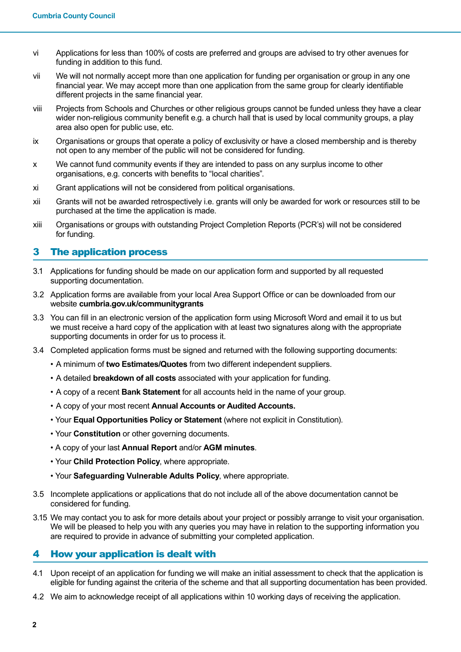- vi Applications for less than 100% of costs are preferred and groups are advised to try other avenues for funding in addition to this fund.
- vii We will not normally accept more than one application for funding per organisation or group in any one financial year. We may accept more than one application from the same group for clearly identifiable different projects in the same financial year.
- viii Projects from Schools and Churches or other religious groups cannot be funded unless they have a clear wider non-religious community benefit e.g. a church hall that is used by local community groups, a play area also open for public use, etc.
- ix Organisations or groups that operate a policy of exclusivity or have a closed membership and is thereby not open to any member of the public will not be considered for funding.
- x We cannot fund community events if they are intended to pass on any surplus income to other organisations, e.g. concerts with benefits to "local charities".
- xi Grant applications will not be considered from political organisations.
- xii Grants will not be awarded retrospectively i.e. grants will only be awarded for work or resources still to be purchased at the time the application is made.
- xiii Organisations or groups with outstanding Project Completion Reports (PCR's) will not be considered for funding.

#### 3 The application process

- 3.1 Applications for funding should be made on our application form and supported by all requested supporting documentation.
- 3.2 Application forms are available from your local Area Support Office or can be downloaded from our website **cumbria.gov.uk/communitygrants**
- 3.3 You can fill in an electronic version of the application form using Microsoft Word and email it to us but we must receive a hard copy of the application with at least two signatures along with the appropriate supporting documents in order for us to process it.
- 3.4 Completed application forms must be signed and returned with the following supporting documents:
	- A minimum of **two Estimates/Quotes** from two different independent suppliers.
	- • A detailed **breakdown of all costs** associated with your application for funding.
	- A copy of a recent **Bank Statement** for all accounts held in the name of your group.
	- A copy of your most recent **Annual Accounts or Audited Accounts.**
	- • Your **Equal Opportunities Policy or Statement** (where not explicit in Constitution).
	- • Your **Constitution** or other governing documents.
	- A copy of your last **Annual Report** and/or **AGM minutes**.
	- Your **Child Protection Policy**, where appropriate.
	- Your **Safeguarding Vulnerable Adults Policy**, where appropriate.
- 3.5 Incomplete applications or applications that do not include all of the above documentation cannot be considered for funding.
- 3.15 We may contact you to ask for more details about your project or possibly arrange to visit your organisation. We will be pleased to help you with any queries you may have in relation to the supporting information you are required to provide in advance of submitting your completed application.

#### 4 How your application is dealt with

- 4.1 Upon receipt of an application for funding we will make an initial assessment to check that the application is eligible for funding against the criteria of the scheme and that all supporting documentation has been provided.
- 4.2 We aim to acknowledge receipt of all applications within 10 working days of receiving the application.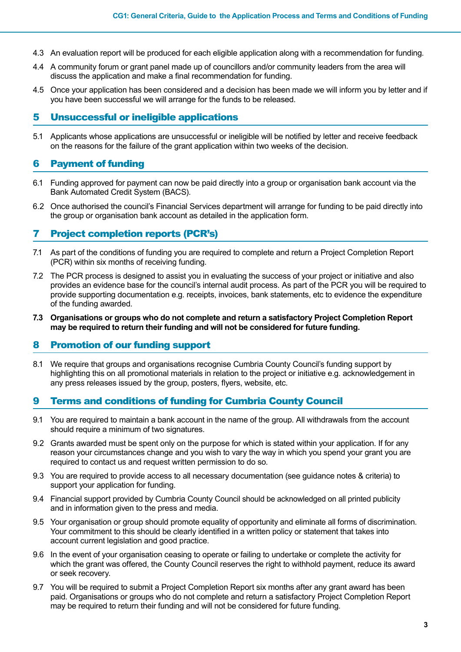- 4.3 An evaluation report will be produced for each eligible application along with a recommendation for funding.
- 4.4 A community forum or grant panel made up of councillors and/or community leaders from the area will discuss the application and make a final recommendation for funding.
- 4.5 Once your application has been considered and a decision has been made we will inform you by letter and if you have been successful we will arrange for the funds to be released.

#### **5** Unsuccessful or ineligible applications

5.1 Applicants whose applications are unsuccessful or ineligible will be notified by letter and receive feedback on the reasons for the failure of the grant application within two weeks of the decision.

#### **6** Payment of funding

- 6.1 Funding approved for payment can now be paid directly into a group or organisation bank account via the Bank Automated Credit System (BACS).
- 6.2 Once authorised the council's Financial Services department will arrange for funding to be paid directly into the group or organisation bank account as detailed in the application form.

#### 7 Project completion reports (PCR's)

- 7.1 As part of the conditions of funding you are required to complete and return a Project Completion Report (PCR) within six months of receiving funding.
- 7.2 The PCR process is designed to assist you in evaluating the success of your project or initiative and also provides an evidence base for the council's internal audit process. As part of the PCR you will be required to provide supporting documentation e.g. receipts, invoices, bank statements, etc to evidence the expenditure of the funding awarded.
- **7.3 Organisations or groups who do not complete and return a satisfactory Project Completion Report may be required to return their funding and will not be considered for future funding.**

#### 8 Promotion of our funding support

8.1 We require that groups and organisations recognise Cumbria County Council's funding support by highlighting this on all promotional materials in relation to the project or initiative e.g. acknowledgement in any press releases issued by the group, posters, flyers, website, etc.

#### 9 Terms and conditions of funding for Cumbria County Council

- 9.1 You are required to maintain a bank account in the name of the group. All withdrawals from the account should require a minimum of two signatures.
- 9.2 Grants awarded must be spent only on the purpose for which is stated within your application. If for any reason your circumstances change and you wish to vary the way in which you spend your grant you are required to contact us and request written permission to do so.
- 9.3 You are required to provide access to all necessary documentation (see guidance notes & criteria) to support your application for funding.
- 9.4 Financial support provided by Cumbria County Council should be acknowledged on all printed publicity and in information given to the press and media.
- 9.5 Your organisation or group should promote equality of opportunity and eliminate all forms of discrimination. Your commitment to this should be clearly identified in a written policy or statement that takes into account current legislation and good practice.
- 9.6 In the event of your organisation ceasing to operate or failing to undertake or complete the activity for which the grant was offered, the County Council reserves the right to withhold payment, reduce its award or seek recovery.
- 9.7 You will be required to submit a Project Completion Report six months after any grant award has been paid. Organisations or groups who do not complete and return a satisfactory Project Completion Report may be required to return their funding and will not be considered for future funding.